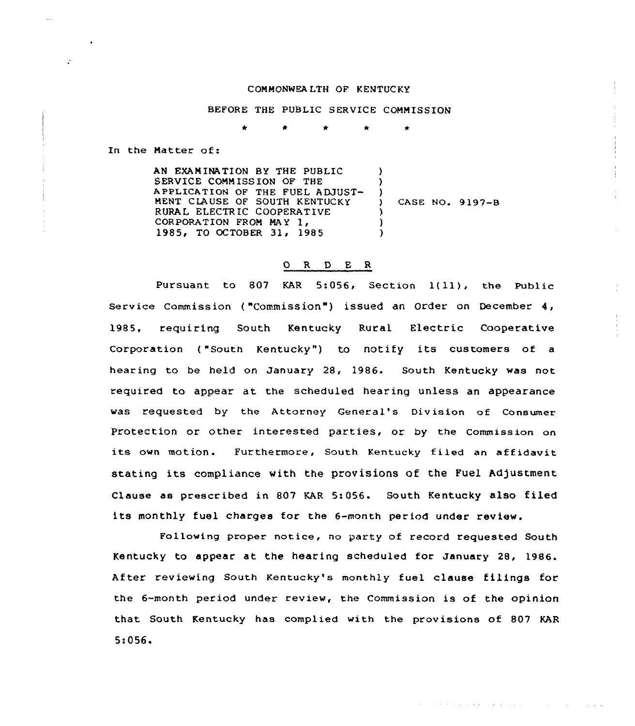## COMMONWEALTH OF KENTUCKY

## BEFORE THE PUBLIC SERVICE COMMISSION

\* \* \*

In the Matter of:

AN EXAMINATION BY THE PUBLIC SERVICE COMMISSION OF THE APPLICATION OF THE FUEL ADJUST-MENT CLAUSE OF SOUTH KENTUCKY RURAL ELECTRIC COOPERATIVE CORPORATION FROM MAY 1, 1985, TO OCTOBER 31, 1985 ) ) ) ) CASE NO. 9197-B ) ) )

## O R D E R

Pursuant to 807 KAR 5:056, Section 1(11), the Public Service Commission ("Commission") issued an Order on December 4, 1985, requiring South Kentucky Rural Electric Cooperative Corporation ("South Kentucky") to notify its customers of a hearing to be held on January 28, 1986. South Kentucky was not required to appear at the scheduled hearing unless an appearance was requested by the Attorney General's Division of Consumer Protection or other interested parties, or by the Commission on its own motion. Furthermore, South Kentucky filed an affidavit stating its compliance with the provisions of the Fuel Adjustment Clause as prescribed in 807 KAR 5:056. South Kentucky also filed its monthly fuel charges for the 6-month period under review.

Following proper notice, no party of record requested South Kentucky to appear at. the hearing scheduled for January 28, 1986. After reviewing South Kentucky's monthly fuel clause filings for the 6-month period under review, the Commission is of the opinion that South Kentucky has complied with the provisions of 807 KAR 5:056~

المتعادل والمتمازي والمتماد والمتعادية والمتعاد